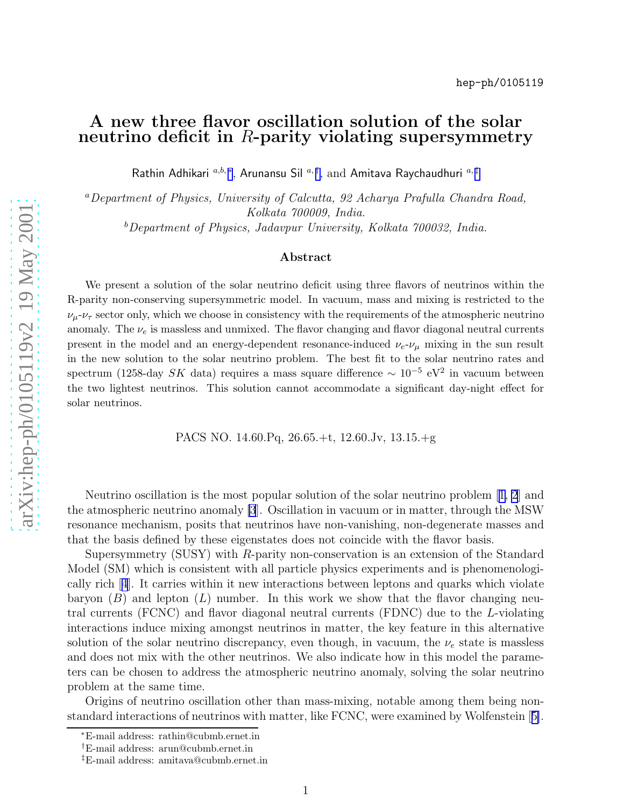## A new three flavor oscillation solution of the solar neutrino deficit in  $R$ -parity violating supersymmetry

Rathin Adhikari  ${}^{a,b,\,*},$  Arunansu Sil  ${}^{a,\,\dagger},$  and Amitava Raychaudhuri  ${}^{a,\,\ddagger}$ 

<sup>a</sup>Department of Physics, University of Calcutta, 92 Acharya Prafulla Chandra Road, Kolkata 700009, India.

 $b$ Department of Physics, Jadavpur University, Kolkata 700032, India.

## Abstract

We present a solution of the solar neutrino deficit using three flavors of neutrinos within the R-parity non-conserving supersymmetric model. In vacuum, mass and mixing is restricted to the  $\nu_{\mu}$ - $\nu_{\tau}$  sector only, which we choose in consistency with the requirements of the atmospheric neutrino anomaly. The  $\nu_e$  is massless and unmixed. The flavor changing and flavor diagonal neutral currents present in the model and an energy-dependent resonance-induced  $\nu_e$ - $\nu_\mu$  mixing in the sun result in the new solution to the solar neutrino problem. The best fit to the solar neutrino rates and spectrum (1258-day  $SK$  data) requires a mass square difference  $\sim 10^{-5}$  eV<sup>2</sup> in vacuum between the two lightest neutrinos. This solution cannot accommodate a significant day-night effect for solar neutrinos.

PACS NO. 14.60.Pq, 26.65.+t, 12.60.Jv, 13.15.+g

Neutrino oscillation is the most popular solution of the solar neutrino problem[[1, 2](#page-5-0)] and the atmospheric neutrino anomaly [\[3](#page-5-0)]. Oscillation in vacuum or in matter, through the MSW resonance mechanism, posits that neutrinos have non-vanishing, non-degenerate masses and that the basis defined by these eigenstates does not coincide with the flavor basis.

Supersymmetry (SUSY) with R-parity non-conservation is an extension of the Standard Model (SM) which is consistent with all particle physics experiments and is phenomenologically rich[[4](#page-5-0)]. It carries within it new interactions between leptons and quarks which violate baryon  $(B)$  and lepton  $(L)$  number. In this work we show that the flavor changing neutral currents (FCNC) and flavor diagonal neutral currents (FDNC) due to the L-violating interactions induce mixing amongst neutrinos in matter, the key feature in this alternative solution of the solar neutrino discrepancy, even though, in vacuum, the  $\nu_e$  state is massless and does not mix with the other neutrinos. We also indicate how in this model the parameters can be chosen to address the atmospheric neutrino anomaly, solving the solar neutrino problem at the same time.

Origins of neutrino oscillation other than mass-mixing, notable among them being nonstandard interactions of neutrinos with matter, like FCNC, were examined by Wolfenstein[[5\]](#page-5-0).

<sup>∗</sup>E-mail address: rathin@cubmb.ernet.in

<sup>†</sup>E-mail address: arun@cubmb.ernet.in

<sup>‡</sup>E-mail address: amitava@cubmb.ernet.in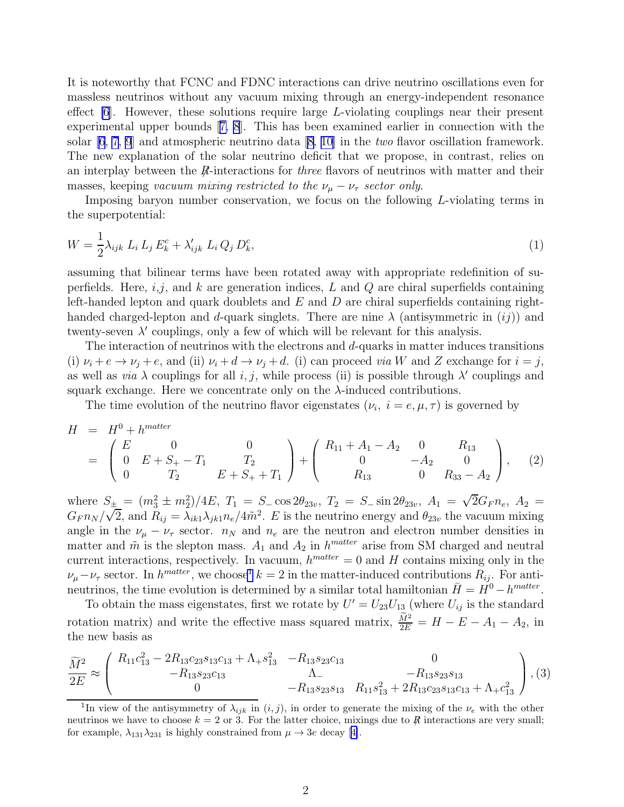<span id="page-1-0"></span>It is noteworthy that FCNC and FDNC interactions can drive neutrino oscillations even for massless neutrinos without any vacuum mixing through an energy-independent resonance effect  $[6]$ . However, these solutions require large L-violating couplings near their present experimental upper bounds[[7, 8](#page-6-0)]. This has been examined earlier in connection with the solar  $[6, 7, 9]$  $[6, 7, 9]$  $[6, 7, 9]$  $[6, 7, 9]$  $[6, 7, 9]$  and atmospheric neutrino data  $[8, 10]$  in the *two* flavor oscillation framework. The new explanation of the solar neutrino deficit that we propose, in contrast, relies on an interplay between the  $R$ -interactions for *three* flavors of neutrinos with matter and their masses, keeping vacuum mixing restricted to the  $\nu_{\mu} - \nu_{\tau}$  sector only.

Imposing baryon number conservation, we focus on the following L-violating terms in the superpotential:

$$
W = \frac{1}{2} \lambda_{ijk} L_i L_j E_k^c + \lambda'_{ijk} L_i Q_j D_k^c, \tag{1}
$$

assuming that bilinear terms have been rotated away with appropriate redefinition of superfields. Here,  $i,j$ , and k are generation indices, L and Q are chiral superfields containing left-handed lepton and quark doublets and  $E$  and  $D$  are chiral superfields containing righthanded charged-lepton and d-quark singlets. There are nine  $\lambda$  (antisymmetric in  $(ij)$ ) and twenty-seven  $\lambda'$  couplings, only a few of which will be relevant for this analysis.

The interaction of neutrinos with the electrons and  $d$ -quarks in matter induces transitions (i)  $\nu_i + e \rightarrow \nu_j + e$ , and (ii)  $\nu_i + d \rightarrow \nu_j + d$ . (i) can proceed *via* W and Z exchange for  $i = j$ , as well as *via*  $\lambda$  couplings for all *i*, *j*, while process (ii) is possible through  $\lambda'$  couplings and squark exchange. Here we concentrate only on the  $\lambda$ -induced contributions.

The time evolution of the neutrino flavor eigenstates  $(\nu_i, i = e, \mu, \tau)$  is governed by

$$
H = H^{0} + h^{matter}
$$
  
=  $\begin{pmatrix} E & 0 & 0 \\ 0 & E + S_{+} - T_{1} & T_{2} \\ 0 & T_{2} & E + S_{+} + T_{1} \end{pmatrix} + \begin{pmatrix} R_{11} + A_{1} - A_{2} & 0 & R_{13} \\ 0 & -A_{2} & 0 \\ R_{13} & 0 & R_{33} - A_{2} \end{pmatrix}$ , (2)

where  $S_{\pm} = (m_3^2 \pm m_2^2)/4E$ ,  $T_1 = S_{-} \cos 2\theta_{23v}$ ,  $T_2 = S_{-} \sin 2\theta_{23v}$ ,  $A_1 = \sqrt{2}G_F n_e$ ,  $A_2 =$  $G_{F} n_N / \sqrt{2}$ , and  $R_{ij} = \lambda_{ik1} \lambda_{jk1} n_e / 4 \tilde{m}^2$ . E is the neutrino energy and  $\theta_{23v}$  the vacuum mixing angle in the  $\nu_{\mu} - \nu_{\tau}$  sector.  $n_N$  and  $n_e$  are the neutron and electron number densities in matter and  $\tilde{m}$  is the slepton mass.  $A_1$  and  $A_2$  in  $h^{matter}$  arise from SM charged and neutral current interactions, respectively. In vacuum,  $h^{matter} = 0$  and H contains mixing only in the  $\nu_\mu-\nu_\tau$  sector. In  $h^{matter}$ , we choose  $k=2$  in the matter-induced contributions  $R_{ij}$ . For antineutrinos, the time evolution is determined by a similar total hamiltonian  $\bar{H} = H^0 - h^{matter}$ .

To obtain the mass eigenstates, first we rotate by  $U' = U_{23}U_{13}$  (where  $U_{ij}$  is the standard rotation matrix) and write the effective mass squared matrix,  $\frac{\widetilde{M}^2}{2E} = H - E - A_1 - A_2$ , in the new basis as

$$
\frac{\widetilde{M}^2}{2E} \approx \begin{pmatrix} R_{11}c_{13}^2 - 2R_{13}c_{23}s_{13}c_{13} + \Lambda_+ s_{13}^2 & -R_{13}s_{23}c_{13} & 0\\ -R_{13}s_{23}c_{13} & \Lambda_- & -R_{13}s_{23}s_{13}\\ 0 & -R_{13}s_{23}s_{13} & R_{11}s_{13}^2 + 2R_{13}c_{23}s_{13}c_{13} + \Lambda_+ c_{13}^2 \end{pmatrix}, (3)
$$

<sup>&</sup>lt;sup>1</sup>In view of the antisymmetry of  $\lambda_{ijk}$  in  $(i, j)$ , in order to generate the mixing of the  $\nu_e$  with the other neutrinos we have to choose  $k = 2$  or 3. For the latter choice, mixings due to  $R$  interactions are very small; forexample,  $\lambda_{131}\lambda_{231}$  is highly constrained from  $\mu \to 3e$  decay [[4\]](#page-5-0).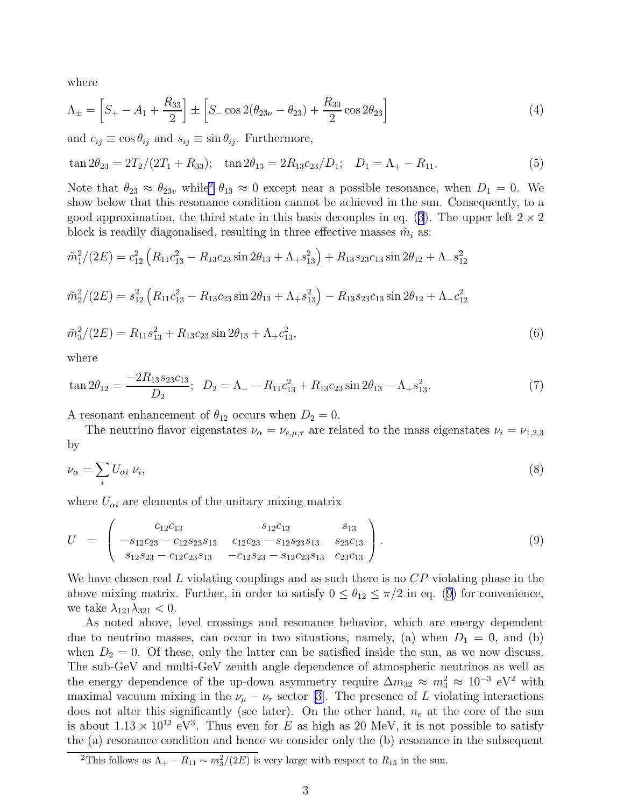<span id="page-2-0"></span>where

$$
\Lambda_{\pm} = \left[ S_{+} - A_{1} + \frac{R_{33}}{2} \right] \pm \left[ S_{-} \cos 2(\theta_{23\nu} - \theta_{23}) + \frac{R_{33}}{2} \cos 2\theta_{23} \right]
$$
(4)

and  $c_{ij} \equiv \cos \theta_{ij}$  and  $s_{ij} \equiv \sin \theta_{ij}$ . Furthermore,

$$
\tan 2\theta_{23} = 2T_2/(2T_1 + R_{33}); \quad \tan 2\theta_{13} = 2R_{13}c_{23}/D_1; \quad D_1 = \Lambda_+ - R_{11}.
$$
\n(5)

Note that  $\theta_{23} \approx \theta_{23v}$  while  $\theta_{13} \approx 0$  except near a possible resonance, when  $D_1 = 0$ . We show below that this resonance condition cannot be achieved in the sun. Consequently, to a goodapproximation, the third state in this basis decouples in eq. ([3](#page-1-0)). The upper left  $2 \times 2$ block is readily diagonalised, resulting in three effective masses  $\tilde{m}_i$  as:

$$
\tilde{m}_1^2/(2E) = c_{12}^2 \left( R_{11} c_{13}^2 - R_{13} c_{23} \sin 2\theta_{13} + \Lambda_+ s_{13}^2 \right) + R_{13} s_{23} c_{13} \sin 2\theta_{12} + \Lambda_- s_{12}^2
$$
  

$$
\tilde{m}_2^2/(2E) = s_{12}^2 \left( R_{11} c_{13}^2 - R_{13} c_{23} \sin 2\theta_{13} + \Lambda_+ s_{13}^2 \right) - R_{13} s_{23} c_{13} \sin 2\theta_{12} + \Lambda_- c_{12}^2
$$

$$
\tilde{m}_3^2/(2E) = R_{11}s_{13}^2 + R_{13}c_{23}\sin 2\theta_{13} + \Lambda_+ c_{13}^2,\tag{6}
$$

where

$$
\tan 2\theta_{12} = \frac{-2R_{13}s_{23}c_{13}}{D_2}; \quad D_2 = \Lambda_- - R_{11}c_{13}^2 + R_{13}c_{23}\sin 2\theta_{13} - \Lambda_+ s_{13}^2. \tag{7}
$$

A resonant enhancement of  $\theta_{12}$  occurs when  $D_2 = 0$ .

The neutrino flavor eigenstates  $\nu_{\alpha} = \nu_{e,\mu,\tau}$  are related to the mass eigenstates  $\nu_i = \nu_{1,2,3}$ by

$$
\nu_{\alpha} = \sum_{i} U_{\alpha i} \ \nu_{i},\tag{8}
$$

where  $U_{\alpha i}$  are elements of the unitary mixing matrix

$$
U = \begin{pmatrix} c_{12}c_{13} & s_{12}c_{13} & s_{13} \\ -s_{12}c_{23} - c_{12}s_{23}s_{13} & c_{12}c_{23} - s_{12}s_{23}s_{13} & s_{23}c_{13} \\ s_{12}s_{23} - c_{12}c_{23}s_{13} & -c_{12}s_{23} - s_{12}c_{23}s_{13} & c_{23}c_{13} \end{pmatrix}.
$$
 (9)

We have chosen real L violating couplings and as such there is no  $\mathbb{CP}$  violating phase in the above mixing matrix. Further, in order to satisfy  $0 \leq \theta_{12} \leq \pi/2$  in eq. (9) for convenience, we take  $\lambda_{121}\lambda_{321} < 0$ .

As noted above, level crossings and resonance behavior, which are energy dependent due to neutrino masses, can occur in two situations, namely, (a) when  $D_1 = 0$ , and (b) when  $D_2 = 0$ . Of these, only the latter can be satisfied inside the sun, as we now discuss. The sub-GeV and multi-GeV zenith angle dependence of atmospheric neutrinos as well as the energy dependence of the up-down asymmetry require  $\Delta m_{32} \approx m_3^2 \approx 10^{-3} \text{ eV}^2$  with maximalvacuum mixing in the  $\nu_{\mu} - \nu_{\tau}$  sector [[3\]](#page-5-0). The presence of L violating interactions does not alter this significantly (see later). On the other hand,  $n_e$  at the core of the sun is about  $1.13 \times 10^{12}$  eV<sup>3</sup>. Thus even for E as high as 20 MeV, it is not possible to satisfy the (a) resonance condition and hence we consider only the (b) resonance in the subsequent

<sup>&</sup>lt;sup>2</sup>This follows as  $\Lambda_+ - R_{11} \sim m_3^2/(2E)$  is very large with respect to  $R_{13}$  in the sun.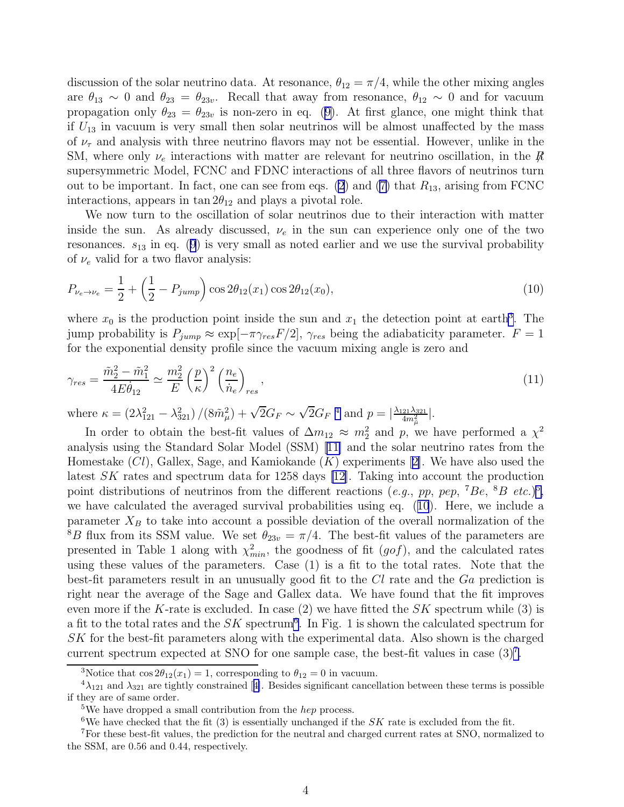discussion of the solar neutrino data. At resonance,  $\theta_{12} = \pi/4$ , while the other mixing angles are  $\theta_{13} \sim 0$  and  $\theta_{23} = \theta_{23}$ . Recall that away from resonance,  $\theta_{12} \sim 0$  and for vacuum propagationonly  $\theta_{23} = \theta_{23}$  is non-zero in eq. ([9\)](#page-2-0). At first glance, one might think that if  $U_{13}$  in vacuum is very small then solar neutrinos will be almost unaffected by the mass of  $\nu_{\tau}$  and analysis with three neutrino flavors may not be essential. However, unlike in the SM, where only  $\nu_e$  interactions with matter are relevant for neutrino oscillation, in the  $\not R$ supersymmetric Model, FCNC and FDNC interactions of all three flavors of neutrinos turn out to be important. In fact, one can see from eqs. [\(2](#page-1-0))and ([7\)](#page-2-0) that  $R_{13}$ , arising from FCNC interactions, appears in  $\tan 2\theta_{12}$  and plays a pivotal role.

We now turn to the oscillation of solar neutrinos due to their interaction with matter inside the sun. As already discussed,  $\nu_e$  in the sun can experience only one of the two resonances. $s_{13}$  in eq. ([9](#page-2-0)) is very small as noted earlier and we use the survival probability of  $\nu_e$  valid for a two flavor analysis:

$$
P_{\nu_e \to \nu_e} = \frac{1}{2} + \left(\frac{1}{2} - P_{jump}\right) \cos 2\theta_{12}(x_1) \cos 2\theta_{12}(x_0),\tag{10}
$$

where  $x_0$  is the production point inside the sun and  $x_1$  the detection point at earth<sup>3</sup>. The jump probability is  $P_{jump} \approx \exp[-\pi \gamma_{res}F/2]$ ,  $\gamma_{res}$  being the adiabaticity parameter.  $F = 1$ for the exponential density profile since the vacuum mixing angle is zero and

$$
\gamma_{res} = \frac{\tilde{m}_2^2 - \tilde{m}_1^2}{4E\dot{\theta}_{12}} \simeq \frac{m_2^2}{E} \left(\frac{p}{\kappa}\right)^2 \left(\frac{n_e}{\dot{n}_e}\right)_{res},\tag{11}
$$

where  $\kappa = (2\lambda_{121}^2 - \lambda_{321}^2)/(8\tilde{m}_{\mu}^2) + \sqrt{2}G_F \sim \sqrt{2}G_F^{-4}$  and  $p = |\frac{\lambda_{121}\lambda_{321}}{4m_{\tilde{\mu}}^2}|$ .

In order to obtain the best-fit values of  $\Delta m_{12} \approx m_2^2$  and p, we have performed a  $\chi^2$ analysis using the Standard Solar Model (SSM) [\[11\]](#page-6-0) and the solar neutrino rates from the Homestake $(Cl)$ , Gallex, Sage, and Kamiokande  $(K)$  experiments [[2\]](#page-5-0). We have also used the latest SK rates and spectrum data for 1258 days [\[12\]](#page-6-0). Taking into account the production point distributions of neutrinos from the different reactions (e.g., pp, pep,  $^7Be$ ,  $^8B$  etc.)<sup>5</sup>, we have calculated the averaged survival probabilities using eq. (10). Here, we include a parameter  $X_B$  to take into account a possible deviation of the overall normalization of the <sup>8</sup>B flux from its SSM value. We set  $\theta_{23v} = \pi/4$ . The best-fit values of the parameters are presented in Table 1 along with  $\chi^2_{min}$ , the goodness of fit  $(gof)$ , and the calculated rates using these values of the parameters. Case (1) is a fit to the total rates. Note that the best-fit parameters result in an unusually good fit to the Cl rate and the Ga prediction is right near the average of the Sage and Gallex data. We have found that the fit improves even more if the K-rate is excluded. In case  $(2)$  we have fitted the SK spectrum while  $(3)$  is a fit to the total rates and the  $SK$  spectrum<sup>6</sup>. In Fig. 1 is shown the calculated spectrum for SK for the best-fit parameters along with the experimental data. Also shown is the charged current spectrum expected at SNO for one sample case, the best-fit values in case  $(3)^7$ .

<sup>&</sup>lt;sup>3</sup>Notice that  $\cos 2\theta_{12}(x_1) = 1$ , corresponding to  $\theta_{12} = 0$  in vacuum.

 $^{4}\lambda_{121}$ and  $\lambda_{321}$  are tightly constrained [[4\]](#page-5-0). Besides significant cancellation between these terms is possible if they are of same order.

<sup>&</sup>lt;sup>5</sup>We have dropped a small contribution from the *hep* process.

<sup>&</sup>lt;sup>6</sup>We have checked that the fit  $(3)$  is essentially unchanged if the SK rate is excluded from the fit.

<sup>7</sup>For these best-fit values, the prediction for the neutral and charged current rates at SNO, normalized to the SSM, are 0.56 and 0.44, respectively.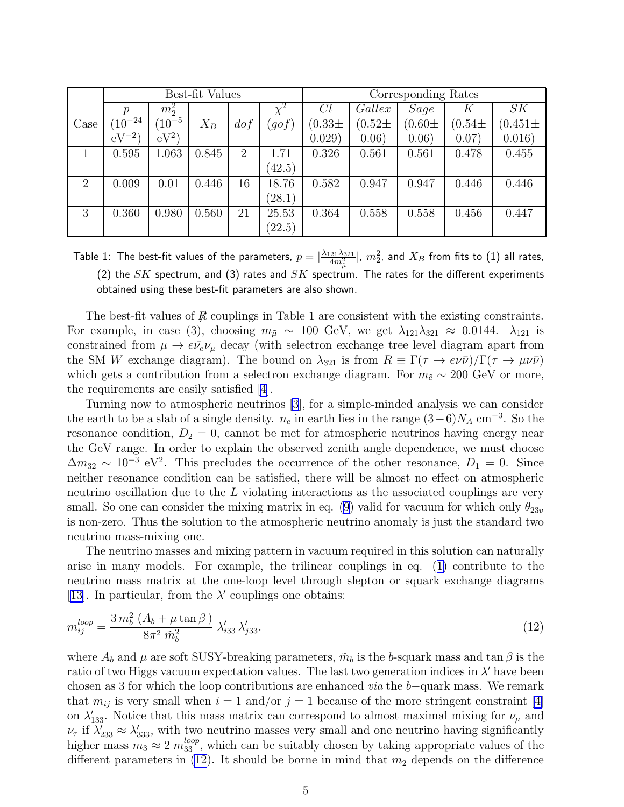|      | Best-fit Values |                    |       |                |        | Corresponding Rates |             |             |            |              |
|------|-----------------|--------------------|-------|----------------|--------|---------------------|-------------|-------------|------------|--------------|
|      | $\mathcal{p}$   | $m_2^2$            |       |                |        | Cl                  | Gallex      | <b>Sage</b> | K          | SK           |
| Case | $(10^{-24})$    | $^{\prime}10^{-5}$ | $X_B$ | dof            | (gof)  | $(0.33\pm$          | $(0.52 \pm$ | $(0.60 \pm$ | $(0.54\pm$ | $(0.451 \pm$ |
|      | $eV^{-2}$       | $eV^2$             |       |                |        | 0.029)              | 0.06)       | 0.06)       | 0.07)      | 0.016)       |
|      | 0.595           | 1.063              | 0.845 | $\overline{2}$ | 1.71   | 0.326               | 0.561       | 0.561       | 0.478      | 0.455        |
|      |                 |                    |       |                | (42.5) |                     |             |             |            |              |
| 2    | 0.009           | 0.01               | 0.446 | 16             | 18.76  | 0.582               | 0.947       | 0.947       | 0.446      | 0.446        |
|      |                 |                    |       |                | (28.1) |                     |             |             |            |              |
| 3    | 0.360           | 0.980              | 0.560 | 21             | 25.53  | 0.364               | 0.558       | 0.558       | 0.456      | 0.447        |
|      |                 |                    |       |                | (22.5) |                     |             |             |            |              |

Table 1: The best-fit values of the parameters,  $p=|\frac{\lambda_{121}\lambda_{321}}{4m^2_{\mu}}|,~m_2^2,$  and  $X_B$  from fits to (1) all rates, (2) the SK spectrum, and (3) rates and SK spectrum. The rates for the different experiments obtained using these best-fit parameters are also shown.

The best-fit values of  $R$  couplings in Table 1 are consistent with the existing constraints. For example, in case (3), choosing  $m_{\tilde{\mu}} \sim 100$  GeV, we get  $\lambda_{121} \lambda_{321} \approx 0.0144$ .  $\lambda_{121}$  is constrained from  $\mu \to e\bar{\nu}_e \nu_\mu$  decay (with selectron exchange tree level diagram apart from the SM W exchange diagram). The bound on  $\lambda_{321}$  is from  $R \equiv \Gamma(\tau \to e \nu \bar{\nu})/\Gamma(\tau \to \mu \nu \bar{\nu})$ which gets a contribution from a selectron exchange diagram. For  $m_{\tilde{e}} \sim 200 \text{ GeV}$  or more, the requirements are easily satisfied[[4\]](#page-5-0).

Turning now to atmospheric neutrinos [\[3](#page-5-0)], for a simple-minded analysis we can consider the earth to be a slab of a single density.  $n_e$  in earth lies in the range  $(3-6)N_A$  cm<sup>-3</sup>. So the resonance condition,  $D_2 = 0$ , cannot be met for atmospheric neutrinos having energy near the GeV range. In order to explain the observed zenith angle dependence, we must choose  $\Delta m_{32} \sim 10^{-3} \text{ eV}^2$ . This precludes the occurrence of the other resonance,  $D_1 = 0$ . Since neither resonance condition can be satisfied, there will be almost no effect on atmospheric neutrino oscillation due to the L violating interactions as the associated couplings are very small. So one can consider the mixing matrix in eq. [\(9](#page-2-0)) valid for vacuum for which only  $\theta_{23v}$ is non-zero. Thus the solution to the atmospheric neutrino anomaly is just the standard two neutrino mass-mixing one.

The neutrino masses and mixing pattern in vacuum required in this solution can naturally arise in many models. For example, the trilinear couplings in eq.([1\)](#page-1-0) contribute to the neutrino mass matrix at the one-loop level through slepton or squark exchange diagrams [\[13\]](#page-6-0). In particular, from the  $\lambda'$  couplings one obtains:

$$
m_{ij}^{loop} = \frac{3 \, m_b^2 \, (A_b + \mu \tan \beta)}{8 \pi^2 \, \tilde{m}_b^2} \, \lambda'_{i33} \, \lambda'_{j33}.\tag{12}
$$

where  $A_b$  and  $\mu$  are soft SUSY-breaking parameters,  $\tilde{m}_b$  is the b-squark mass and tan  $\beta$  is the ratio of two Higgs vacuum expectation values. The last two generation indices in  $\lambda'$  have been chosen as 3 for which the loop contributions are enhanced via the b−quark mass. We remark that $m_{ij}$  is very small when  $i = 1$  and/or  $j = 1$  because of the more stringent constraint [[4\]](#page-5-0) on  $\lambda'_{133}$ . Notice that this mass matrix can correspond to almost maximal mixing for  $\nu_{\mu}$  and  $\nu_{\tau}$  if  $\lambda'_{233} \approx \lambda'_{333}$ , with two neutrino masses very small and one neutrino having significantly higher mass  $m_3 \approx 2 m_{33}^{loop}$ , which can be suitably chosen by taking appropriate values of the different parameters in  $(12)$ . It should be borne in mind that  $m_2$  depends on the difference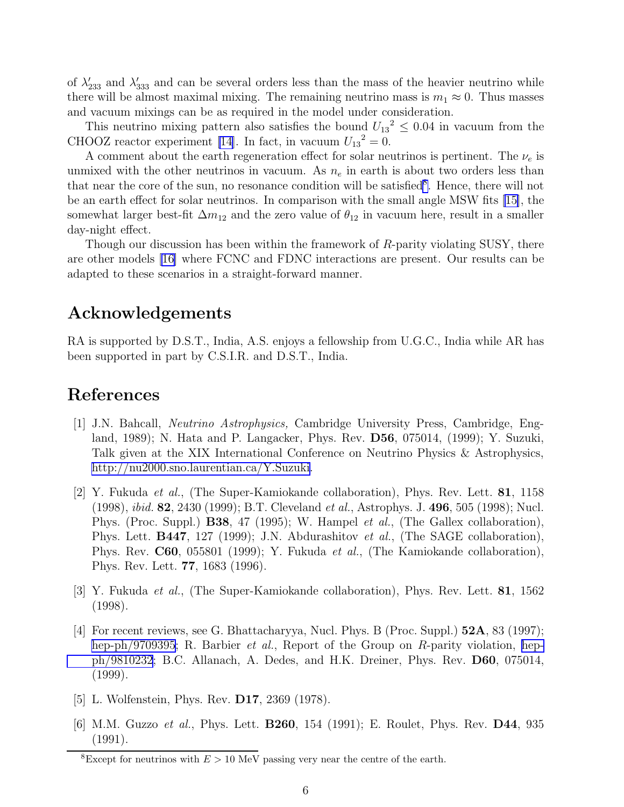<span id="page-5-0"></span>of  $\lambda'_{233}$  and  $\lambda'_{333}$  and can be several orders less than the mass of the heavier neutrino while there will be almost maximal mixing. The remaining neutrino mass is  $m_1 \approx 0$ . Thus masses and vacuum mixings can be as required in the model under consideration.

This neutrino mixing pattern also satisfies the bound  $U_{13}^2 \leq 0.04$  in vacuum from the CHOOZ reactor experiment [\[14](#page-6-0)]. In fact, in vacuum  $U_{13}^2 = 0$ .

A comment about the earth regeneration effect for solar neutrinos is pertinent. The  $\nu_e$  is unmixed with the other neutrinos in vacuum. As  $n_e$  in earth is about two orders less than that near the core of the sun, no resonance condition will be satisfied<sup>8</sup>. Hence, there will not be an earth effect for solar neutrinos. In comparison with the small angle MSW fits[[15\]](#page-6-0), the somewhat larger best-fit  $\Delta m_{12}$  and the zero value of  $\theta_{12}$  in vacuum here, result in a smaller day-night effect.

Though our discussion has been within the framework of R-parity violating SUSY, there are other models [\[16\]](#page-6-0) where FCNC and FDNC interactions are present. Our results can be adapted to these scenarios in a straight-forward manner.

## Acknowledgements

RA is supported by D.S.T., India, A.S. enjoys a fellowship from U.G.C., India while AR has been supported in part by C.S.I.R. and D.S.T., India.

## References

- [1] J.N. Bahcall, Neutrino Astrophysics, Cambridge University Press, Cambridge, England, 1989); N. Hata and P. Langacker, Phys. Rev. D56, 075014, (1999); Y. Suzuki, Talk given at the XIX International Conference on Neutrino Physics & Astrophysics, <http://nu2000.sno.laurentian.ca/Y.Suzuki>.
- [2] Y. Fukuda et al., (The Super-Kamiokande collaboration), Phys. Rev. Lett. 81, 1158 (1998), ibid. 82, 2430 (1999); B.T. Cleveland et al., Astrophys. J. 496, 505 (1998); Nucl. Phys. (Proc. Suppl.) **B38**, 47 (1995); W. Hampel *et al.*, (The Gallex collaboration), Phys. Lett. **B447**, 127 (1999); J.N. Abdurashitov *et al.*, (The SAGE collaboration), Phys. Rev. C60, 055801 (1999); Y. Fukuda *et al.*, (The Kamiokande collaboration), Phys. Rev. Lett. 77, 1683 (1996).
- [3] Y. Fukuda et al., (The Super-Kamiokande collaboration), Phys. Rev. Lett. 81, 1562 (1998).
- [4] For recent reviews, see G. Bhattacharyya, Nucl. Phys. B (Proc. Suppl.) 52A, 83 (1997); [hep-ph/9709395](http://arxiv.org/abs/hep-ph/9709395); R. Barbier *et al.*, Report of the Group on R-parity violation, [hep](http://arxiv.org/abs/hep-ph/9810232)[ph/9810232](http://arxiv.org/abs/hep-ph/9810232); B.C. Allanach, A. Dedes, and H.K. Dreiner, Phys. Rev. D60, 075014, (1999).
- [5] L. Wolfenstein, Phys. Rev. D17, 2369 (1978).
- [6] M.M. Guzzo et al., Phys. Lett. **B260**, 154 (1991); E. Roulet, Phys. Rev. **D44**, 935 (1991).

<sup>&</sup>lt;sup>8</sup>Except for neutrinos with  $E > 10$  MeV passing very near the centre of the earth.